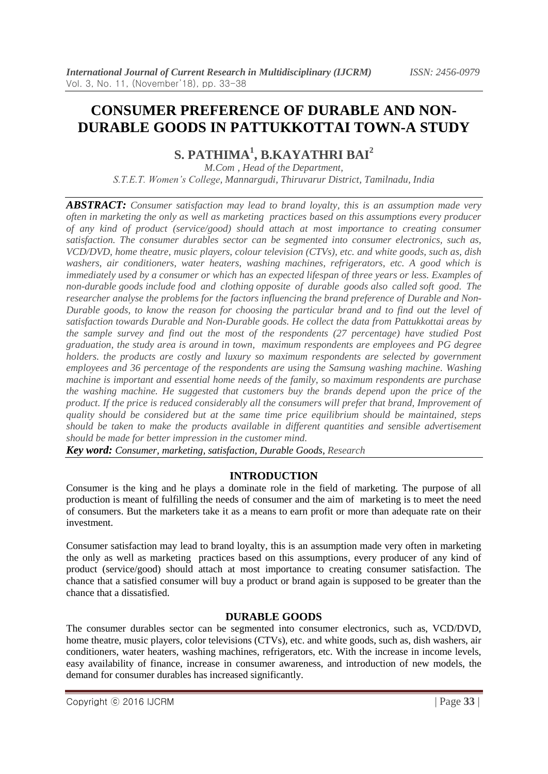# **CONSUMER PREFERENCE OF DURABLE AND NON-DURABLE GOODS IN PATTUKKOTTAI TOWN-A STUDY**

**S. PATHIMA<sup>1</sup> , B.KAYATHRI BAI<sup>2</sup>**

*M.Com , Head of the Department, S.T.E.T. Women's College, Mannargudi, Thiruvarur District, Tamilnadu, India*

*ABSTRACT: Consumer satisfaction may lead to brand loyalty, this is an assumption made very often in marketing the only as well as marketing practices based on this assumptions every producer of any kind of product (service/good) should attach at most importance to creating consumer satisfaction. The consumer durables sector can be segmented into consumer electronics, such as, VCD/DVD, home theatre, music players, colour television (CTVs), etc. and white goods, such as, dish washers, air conditioners, water heaters, washing machines, refrigerators, etc. A good which is immediately used by a [consumer](http://www.investorwords.com/1055/consumer.html) or which has an expected lifespan of three years or [less.](http://www.investorwords.com/10174/less.html) Examples of non-durable [goods](http://www.investorwords.com/2209/goods.html) [include](http://www.investorwords.com/9996/include.html) food and clothing opposite of durable goods also called soft good. The researcher analyse the problems for the factors influencing the brand preference of Durable and Non-Durable goods, to know the reason for choosing the particular brand and to find out the level of satisfaction towards Durable and Non-Durable goods. He collect the data from Pattukkottai areas by the sample survey and find out the most of the respondents (27 percentage) have studied Post graduation, the study area is around in town, maximum respondents are employees and PG degree holders. the products are costly and luxury so maximum respondents are selected by government employees and 36 percentage of the respondents are using the Samsung washing machine. Washing machine is important and essential home needs of the family, so maximum respondents are purchase the washing machine. He suggested that customers buy the brands depend upon the price of the product. If the price is reduced considerably all the consumers will prefer that brand, Improvement of quality should be considered but at the same time price equilibrium should be maintained, steps should be taken to make the products available in different quantities and sensible advertisement should be made for better impression in the customer mind.*

*Key word: Consumer, marketing, satisfaction, Durable Goods, Research*

# **INTRODUCTION**

Consumer is the king and he plays a dominate role in the field of marketing. The purpose of all production is meant of fulfilling the needs of consumer and the aim of marketing is to meet the need of consumers. But the marketers take it as a means to earn profit or more than adequate rate on their investment.

Consumer satisfaction may lead to brand loyalty, this is an assumption made very often in marketing the only as well as marketing practices based on this assumptions, every producer of any kind of product (service/good) should attach at most importance to creating consumer satisfaction. The chance that a satisfied consumer will buy a product or brand again is supposed to be greater than the chance that a dissatisfied.

# **DURABLE GOODS**

The consumer durables sector can be segmented into consumer electronics, such as, VCD/DVD, home theatre, music players, color televisions (CTVs), etc. and white goods, such as, dish washers, air conditioners, water heaters, washing machines, refrigerators, etc. With the increase in income levels, easy availability of finance, increase in consumer awareness, and introduction of new models, the demand for consumer durables has increased significantly.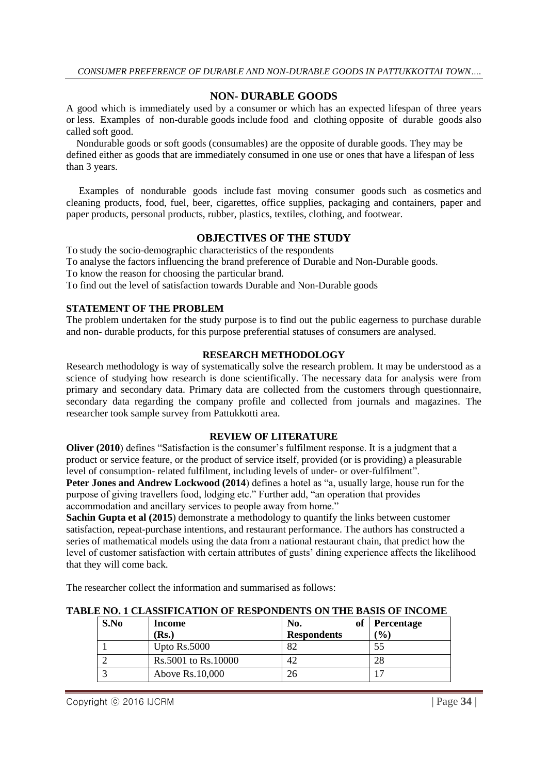# **NON- DURABLE GOODS**

A good which is immediately used by a [consumer](http://www.investorwords.com/1055/consumer.html) or which has an expected lifespan of three years or [less.](http://www.investorwords.com/10174/less.html) Examples of non-durable [goods](http://www.investorwords.com/2209/goods.html) [include](http://www.investorwords.com/9996/include.html) food and clothing opposite of durable goods also called soft good.

 Nondurable goods or soft goods [\(consumables\)](https://en.wikipedia.org/wiki/Consumables) are the opposite of durable goods. They may be defined either as goods that are immediately consumed in one use or ones that have a lifespan of less than 3 years.

 Examples of nondurable goods include [fast moving consumer goods](https://en.wikipedia.org/wiki/Fast_moving_consumer_goods) such as [cosmetics](https://en.wikipedia.org/wiki/Cosmetics) and cleaning products, food, fuel, beer, cigarettes, office supplies, packaging and containers, paper and paper products, personal products, rubber, plastics, textiles, clothing, and footwear.

# **OBJECTIVES OF THE STUDY**

To study the socio-demographic characteristics of the respondents To analyse the factors influencing the brand preference of Durable and Non-Durable goods. To know the reason for choosing the particular brand. To find out the level of satisfaction towards Durable and Non-Durable goods

# **STATEMENT OF THE PROBLEM**

The problem undertaken for the study purpose is to find out the public eagerness to purchase durable and non- durable products, for this purpose preferential statuses of consumers are analysed.

### **RESEARCH METHODOLOGY**

Research methodology is way of systematically solve the research problem. It may be understood as a science of studying how research is done scientifically. The necessary data for analysis were from primary and secondary data. Primary data are collected from the customers through questionnaire, secondary data regarding the company profile and collected from journals and magazines. The researcher took sample survey from Pattukkotti area.

#### **REVIEW OF LITERATURE**

**Oliver (2010)** defines "Satisfaction is the consumer's fulfilment response. It is a judgment that a product or service feature, or the product of service itself, provided (or is providing) a pleasurable level of consumption- related fulfilment, including levels of under- or over-fulfilment".

**Peter Jones and Andrew Lockwood (2014**) defines a hotel as "a, usually large, house run for the purpose of giving travellers food, lodging etc." Further add, "an operation that provides accommodation and ancillary services to people away from home."

**Sachin Gupta et al (2015)** demonstrate a methodology to quantify the links between customer satisfaction, repeat-purchase intentions, and restaurant performance. The authors has constructed a series of mathematical models using the data from a national restaurant chain, that predict how the level of customer satisfaction with certain attributes of gusts' dining experience affects the likelihood that they will come back.

The researcher collect the information and summarised as follows:

| S.No | Income              | оf<br>No.          | <b>Percentage</b> |
|------|---------------------|--------------------|-------------------|
|      | (Rs.)               | <b>Respondents</b> | $($ %)            |
|      | Upto $Rs.5000$      | 82                 |                   |
|      | Rs.5001 to Rs.10000 | 42                 | 28                |
|      | Above Rs.10,000     | 26                 | -                 |

#### **TABLE NO. 1 CLASSIFICATION OF RESPONDENTS ON THE BASIS OF INCOME**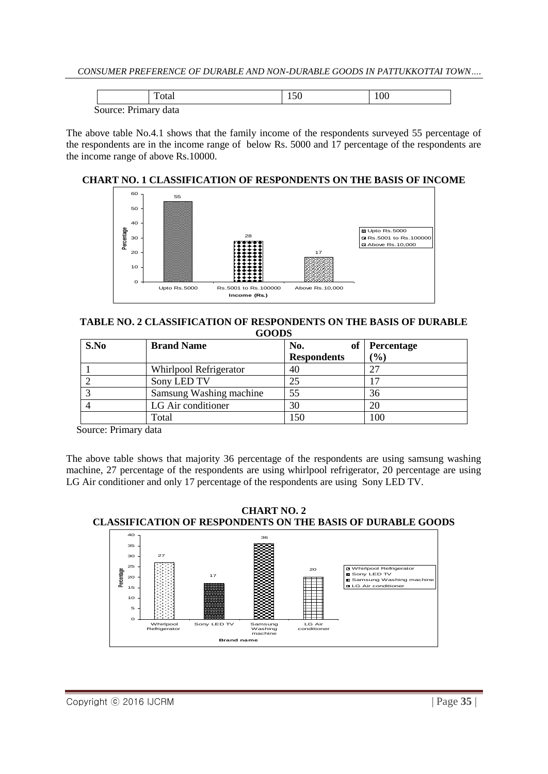| `otal                | 1.JU | 100 |  |
|----------------------|------|-----|--|
| Source: Primary data |      |     |  |

The above table No.4.1 shows that the family income of the respondents surveyed 55 percentage of the respondents are in the income range of below Rs. 5000 and 17 percentage of the respondents are the income range of above Rs.10000.

# **CHART NO. 1 CLASSIFICATION OF RESPONDENTS ON THE BASIS OF INCOME**



#### **TABLE NO. 2 CLASSIFICATION OF RESPONDENTS ON THE BASIS OF DURABLE GOODS**

| S.No | <b>Brand Name</b>       | No.<br>оf          | <b>Percentage</b> |
|------|-------------------------|--------------------|-------------------|
|      |                         | <b>Respondents</b> | $(\%)$            |
|      | Whirlpool Refrigerator  | 40                 |                   |
|      | Sony LED TV             | 25                 |                   |
|      | Samsung Washing machine | 55                 | 36                |
|      | LG Air conditioner      | 30                 |                   |
|      | Total                   | l 50               |                   |

Source: Primary data

The above table shows that majority 36 percentage of the respondents are using samsung washing machine, 27 percentage of the respondents are using whirlpool refrigerator, 20 percentage are using LG Air conditioner and only 17 percentage of the respondents are using Sony LED TV.

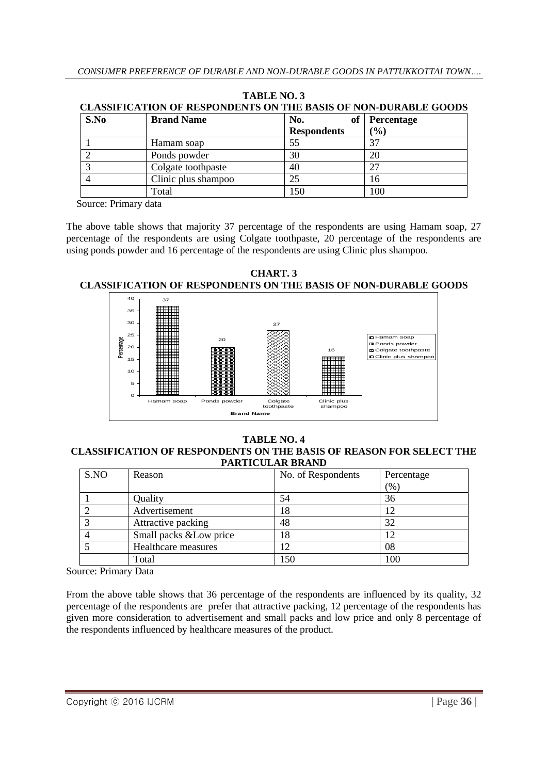| S.No | <b>Brand Name</b>   | No.<br>ot          | <b>Percentage</b> |
|------|---------------------|--------------------|-------------------|
|      |                     | <b>Respondents</b> | $(\%)$            |
|      | Hamam soap          | 55                 |                   |
|      | Ponds powder        | 30                 | 20                |
|      | Colgate toothpaste  | 40                 |                   |
|      | Clinic plus shampoo | 25                 | 16                |
|      | Total               | 150                | 100               |

**TABLE NO. 3 CLASSIFICATION OF RESPONDENTS ON THE BASIS OF NON-DURABLE GOODS**

Source: Primary data

The above table shows that majority 37 percentage of the respondents are using Hamam soap, 27 percentage of the respondents are using Colgate toothpaste, 20 percentage of the respondents are using ponds powder and 16 percentage of the respondents are using Clinic plus shampoo.

**CHART. 3 CLASSIFICATION OF RESPONDENTS ON THE BASIS OF NON-DURABLE GOODS**



#### **TABLE NO. 4 CLASSIFICATION OF RESPONDENTS ON THE BASIS OF REASON FOR SELECT THE PARTICULAR BRAND**

| S.NO | Reason                  | No. of Respondents | Percentage |
|------|-------------------------|--------------------|------------|
|      |                         |                    | (%)        |
|      | Quality                 | 54                 | 36         |
|      | Advertisement           | 8                  |            |
|      | Attractive packing      | 48                 | 32         |
|      | Small packs & Low price | 18                 | 12         |
|      | Healthcare measures     |                    | 08         |
|      | Total                   | l 50               | 100        |

Source: Primary Data

From the above table shows that 36 percentage of the respondents are influenced by its quality, 32 percentage of the respondents are prefer that attractive packing, 12 percentage of the respondents has given more consideration to advertisement and small packs and low price and only 8 percentage of the respondents influenced by healthcare measures of the product.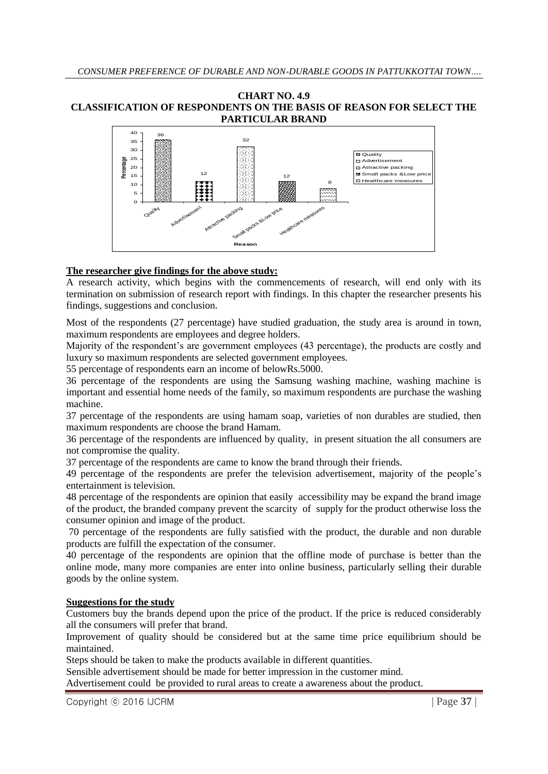#### **CHART NO. 4.9 CLASSIFICATION OF RESPONDENTS ON THE BASIS OF REASON FOR SELECT THE PARTICULAR BRAND**



# **The researcher give findings for the above study:**

A research activity, which begins with the commencements of research, will end only with its termination on submission of research report with findings. In this chapter the researcher presents his findings, suggestions and conclusion.

Most of the respondents (27 percentage) have studied graduation, the study area is around in town, maximum respondents are employees and degree holders.

Majority of the respondent's are government employees (43 percentage), the products are costly and luxury so maximum respondents are selected government employees.

55 percentage of respondents earn an income of belowRs.5000.

36 percentage of the respondents are using the Samsung washing machine, washing machine is important and essential home needs of the family, so maximum respondents are purchase the washing machine.

37 percentage of the respondents are using hamam soap, varieties of non durables are studied, then maximum respondents are choose the brand Hamam.

36 percentage of the respondents are influenced by quality, in present situation the all consumers are not compromise the quality.

37 percentage of the respondents are came to know the brand through their friends.

49 percentage of the respondents are prefer the television advertisement, majority of the people's entertainment is television.

48 percentage of the respondents are opinion that easily accessibility may be expand the brand image of the product, the branded company prevent the scarcity of supply for the product otherwise loss the consumer opinion and image of the product.

70 percentage of the respondents are fully satisfied with the product, the durable and non durable products are fulfill the expectation of the consumer.

40 percentage of the respondents are opinion that the offline mode of purchase is better than the online mode, many more companies are enter into online business, particularly selling their durable goods by the online system.

# **Suggestions for the study**

Customers buy the brands depend upon the price of the product. If the price is reduced considerably all the consumers will prefer that brand.

Improvement of quality should be considered but at the same time price equilibrium should be maintained.

Steps should be taken to make the products available in different quantities.

Sensible advertisement should be made for better impression in the customer mind.

Advertisement could be provided to rural areas to create a awareness about the product.